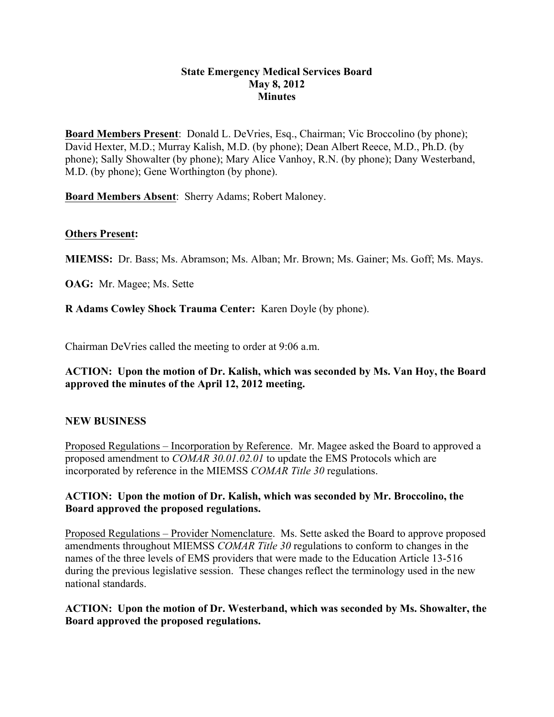### **State Emergency Medical Services Board May 8, 2012 Minutes**

**Board Members Present**: Donald L. DeVries, Esq., Chairman; Vic Broccolino (by phone); David Hexter, M.D.; Murray Kalish, M.D. (by phone); Dean Albert Reece, M.D., Ph.D. (by phone); Sally Showalter (by phone); Mary Alice Vanhoy, R.N. (by phone); Dany Westerband, M.D. (by phone); Gene Worthington (by phone).

**Board Members Absent**: Sherry Adams; Robert Maloney.

### **Others Present:**

**MIEMSS:** Dr. Bass; Ms. Abramson; Ms. Alban; Mr. Brown; Ms. Gainer; Ms. Goff; Ms. Mays.

**OAG:** Mr. Magee; Ms. Sette

**R Adams Cowley Shock Trauma Center:** Karen Doyle (by phone).

Chairman DeVries called the meeting to order at 9:06 a.m.

**ACTION: Upon the motion of Dr. Kalish, which was seconded by Ms. Van Hoy, the Board approved the minutes of the April 12, 2012 meeting.**

#### **NEW BUSINESS**

Proposed Regulations – Incorporation by Reference. Mr. Magee asked the Board to approved a proposed amendment to *COMAR 30.01.02.01* to update the EMS Protocols which are incorporated by reference in the MIEMSS *COMAR Title 30* regulations.

### **ACTION: Upon the motion of Dr. Kalish, which was seconded by Mr. Broccolino, the Board approved the proposed regulations.**

Proposed Regulations – Provider Nomenclature. Ms. Sette asked the Board to approve proposed amendments throughout MIEMSS *COMAR Title 30* regulations to conform to changes in the names of the three levels of EMS providers that were made to the Education Article 13-516 during the previous legislative session. These changes reflect the terminology used in the new national standards.

# **ACTION: Upon the motion of Dr. Westerband, which was seconded by Ms. Showalter, the Board approved the proposed regulations.**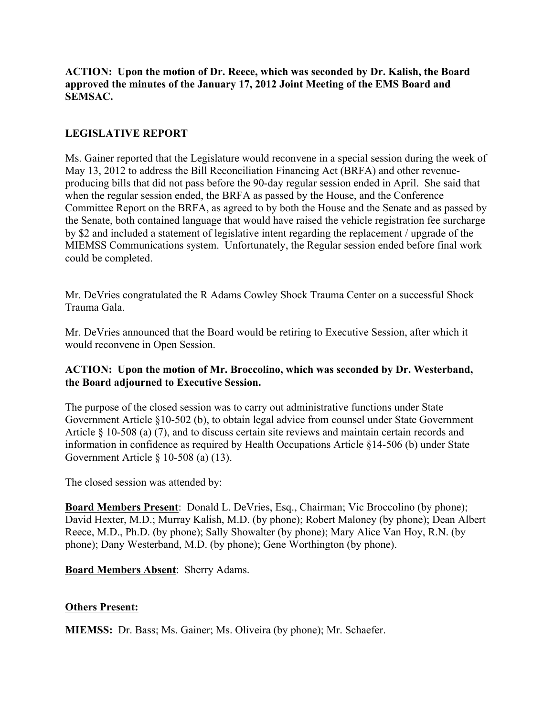**ACTION: Upon the motion of Dr. Reece, which was seconded by Dr. Kalish, the Board approved the minutes of the January 17, 2012 Joint Meeting of the EMS Board and SEMSAC.**

# **LEGISLATIVE REPORT**

Ms. Gainer reported that the Legislature would reconvene in a special session during the week of May 13, 2012 to address the Bill Reconciliation Financing Act (BRFA) and other revenueproducing bills that did not pass before the 90-day regular session ended in April. She said that when the regular session ended, the BRFA as passed by the House, and the Conference Committee Report on the BRFA, as agreed to by both the House and the Senate and as passed by the Senate, both contained language that would have raised the vehicle registration fee surcharge by \$2 and included a statement of legislative intent regarding the replacement / upgrade of the MIEMSS Communications system. Unfortunately, the Regular session ended before final work could be completed.

Mr. DeVries congratulated the R Adams Cowley Shock Trauma Center on a successful Shock Trauma Gala.

Mr. DeVries announced that the Board would be retiring to Executive Session, after which it would reconvene in Open Session.

### **ACTION: Upon the motion of Mr. Broccolino, which was seconded by Dr. Westerband, the Board adjourned to Executive Session.**

The purpose of the closed session was to carry out administrative functions under State Government Article §10-502 (b), to obtain legal advice from counsel under State Government Article § 10-508 (a) (7), and to discuss certain site reviews and maintain certain records and information in confidence as required by Health Occupations Article §14-506 (b) under State Government Article § 10-508 (a) (13).

The closed session was attended by:

**Board Members Present**: Donald L. DeVries, Esq., Chairman; Vic Broccolino (by phone); David Hexter, M.D.; Murray Kalish, M.D. (by phone); Robert Maloney (by phone); Dean Albert Reece, M.D., Ph.D. (by phone); Sally Showalter (by phone); Mary Alice Van Hoy, R.N. (by phone); Dany Westerband, M.D. (by phone); Gene Worthington (by phone).

**Board Members Absent**: Sherry Adams.

# **Others Present:**

**MIEMSS:** Dr. Bass; Ms. Gainer; Ms. Oliveira (by phone); Mr. Schaefer.